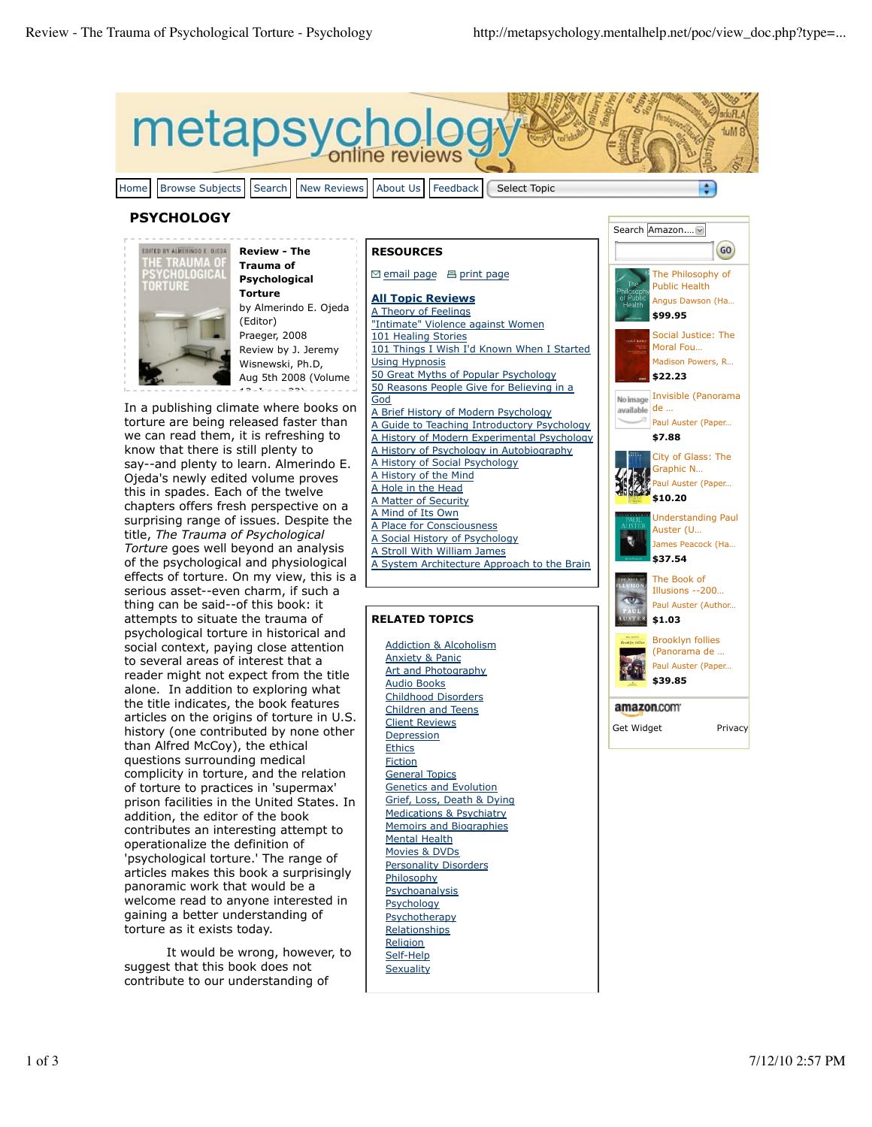metapsyc Home Browse Subjects Search New Reviews About Us Feedback Select Topic ÷

## **PSYCHOLOGY**



**Review - The Trauma of Psychological Torture** by Almerindo E. Ojeda (Editor) Praeger, 2008 Review by J. Jeremy Wisnewski, Ph.D, Aug 5th 2008 (Volume 12, Issue 32)

In a publishing climate where books on torture are being released faster than we can read them, it is refreshing to know that there is still plenty to say--and plenty to learn. Almerindo E. Ojeda's newly edited volume proves this in spades. Each of the twelve chapters offers fresh perspective on a surprising range of issues. Despite the title, *The Trauma of Psychological Torture* goes well beyond an analysis of the psychological and physiological effects of torture. On my view, this is a serious asset--even charm, if such a thing can be said--of this book: it attempts to situate the trauma of psychological torture in historical and social context, paying close attention to several areas of interest that a reader might not expect from the title alone. In addition to exploring what the title indicates, the book features articles on the origins of torture in U.S. history (one contributed by none other than Alfred McCoy), the ethical questions surrounding medical complicity in torture, and the relation of torture to practices in 'supermax' prison facilities in the United States. In addition, the editor of the book contributes an interesting attempt to operationalize the definition of 'psychological torture.' The range of articles makes this book a surprisingly panoramic work that would be a welcome read to anyone interested in gaining a better understanding of torture as it exists today.

It would be wrong, however, to suggest that this book does not contribute to our understanding of

#### **RESOURCES**

□ email page 吕 print page

**All Topic Reviews** A Theory of Feelings "Intimate" Violence against Women 101 Healing Stories 101 Things I Wish I'd Known When I Started Using Hypnosis 50 Great Myths of Popular Psychology 50 Reasons People Give for Believing in a God A Brief History of Modern Psychology A Guide to Teaching Introductory Psychology A History of Modern Experimental Psychology A History of Psychology in Autobiography A History of Social Psychology A History of the Mind A Hole in the Head A Matter of Security A Mind of Its Own A Place for Consciousness A Social History of Psychology A Stroll With William James A System Architecture Approach to the Brain

## **RELATED TOPICS**

Addiction & Alcoholism Anxiety & Panic **Art and Photography** Audio Books Childhood Disorders Children and Teens Client Reviews Depression **Ethics Fiction** General Topics Genetics and Evolution Grief, Loss, Death & Dying Medications & Psychiatry Memoirs and Biographies Mental Health Movies & DVDs Personality Disorders **Philosophy** Psychoanalysis **Psychology Psychotherapy** Relationships **Religion** Self-Help **Sexuality** 

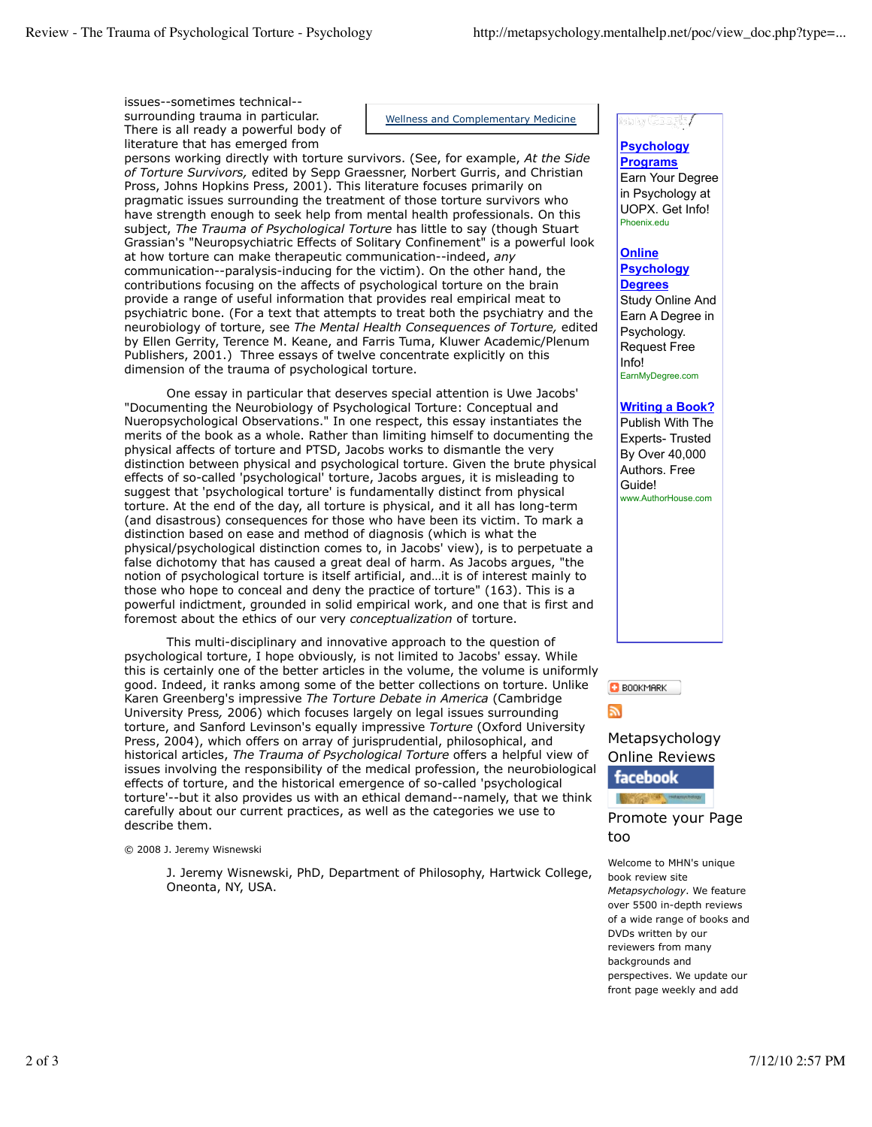issues--sometimes technical- surrounding trauma in particular. There is all ready a powerful body of literature that has emerged from

Wellness and Complementary Medicine

persons working directly with torture survivors. (See, for example, *At the Side of Torture Survivors,* edited by Sepp Graessner, Norbert Gurris, and Christian Pross, Johns Hopkins Press, 2001). This literature focuses primarily on pragmatic issues surrounding the treatment of those torture survivors who have strength enough to seek help from mental health professionals. On this subject, *The Trauma of Psychological Torture* has little to say (though Stuart Grassian's "Neuropsychiatric Effects of Solitary Confinement" is a powerful look at how torture can make therapeutic communication--indeed, *any* communication--paralysis-inducing for the victim). On the other hand, the contributions focusing on the affects of psychological torture on the brain provide a range of useful information that provides real empirical meat to psychiatric bone. (For a text that attempts to treat both the psychiatry and the neurobiology of torture, see *The Mental Health Consequences of Torture,* edited by Ellen Gerrity, Terence M. Keane, and Farris Tuma, Kluwer Academic/Plenum Publishers, 2001.) Three essays of twelve concentrate explicitly on this dimension of the trauma of psychological torture.

One essay in particular that deserves special attention is Uwe Jacobs' "Documenting the Neurobiology of Psychological Torture: Conceptual and Nueropsychological Observations." In one respect, this essay instantiates the merits of the book as a whole. Rather than limiting himself to documenting the physical affects of torture and PTSD, Jacobs works to dismantle the very distinction between physical and psychological torture. Given the brute physical effects of so-called 'psychological' torture, Jacobs argues, it is misleading to suggest that 'psychological torture' is fundamentally distinct from physical torture. At the end of the day, all torture is physical, and it all has long-term (and disastrous) consequences for those who have been its victim. To mark a distinction based on ease and method of diagnosis (which is what the physical/psychological distinction comes to, in Jacobs' view), is to perpetuate a false dichotomy that has caused a great deal of harm. As Jacobs argues, "the notion of psychological torture is itself artificial, and…it is of interest mainly to those who hope to conceal and deny the practice of torture" (163). This is a powerful indictment, grounded in solid empirical work, and one that is first and foremost about the ethics of our very *conceptualization* of torture.

This multi-disciplinary and innovative approach to the question of psychological torture, I hope obviously, is not limited to Jacobs' essay. While this is certainly one of the better articles in the volume, the volume is uniformly good. Indeed, it ranks among some of the better collections on torture. Unlike Karen Greenberg's impressive *The Torture Debate in America* (Cambridge University Press*,* 2006) which focuses largely on legal issues surrounding torture, and Sanford Levinson's equally impressive *Torture* (Oxford University Press, 2004), which offers on array of jurisprudential, philosophical, and historical articles, *The Trauma of Psychological Torture* offers a helpful view of issues involving the responsibility of the medical profession, the neurobiological effects of torture, and the historical emergence of so-called 'psychological torture'--but it also provides us with an ethical demand--namely, that we think carefully about our current practices, as well as the categories we use to describe them.

© 2008 J. Jeremy Wisnewski

J. Jeremy Wisnewski, PhD, Department of Philosophy, Hartwick College, Oneonta, NY, USA.

#### to ty Google,

#### **Psychology Programs** Earn Your Degree in Psychology at UOPX. Get Info! Phoenix.edu

# **Online**

#### **Psychology Degrees**

Study Online And Earn A Degree in Psychology. Request Free Info! EarnMyDegree.com

## **Writing a Book?**

Publish With The Experts- Trusted By Over 40,000 Authors. Free Guide! www.AuthorHouse.com



# Metapsychology Online Reviews



Promote your Page too

Welcome to MHN's unique book review site *Metapsychology*. We feature over 5500 in-depth reviews of a wide range of books and DVDs written by our reviewers from many backgrounds and perspectives. We update our front page weekly and add